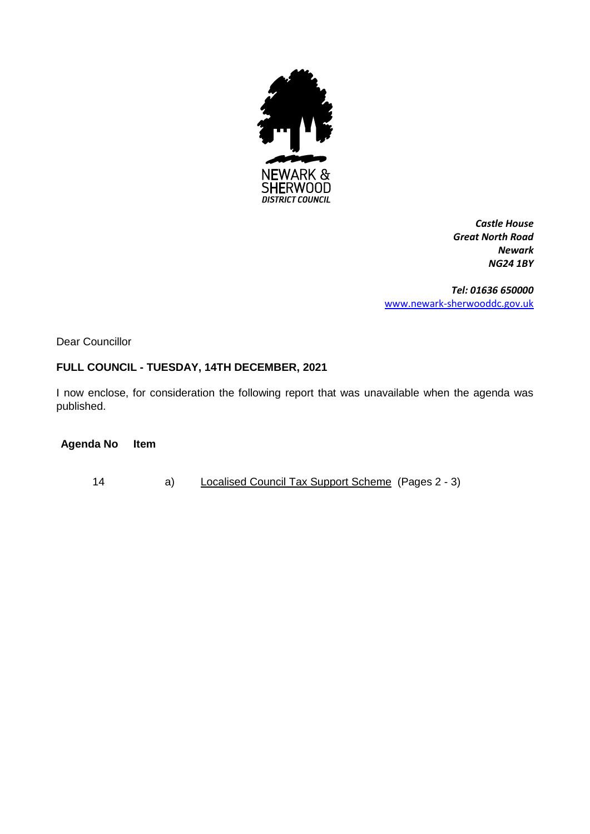

*Castle House Great North Road Newark NG24 1BY*

*Tel: 01636 650000* [www.newark-sherwooddc.gov.uk](http://www.newark-sherwooddc.gov.uk/)

Dear Councillor

## **FULL COUNCIL - TUESDAY, 14TH DECEMBER, 2021**

I now enclose, for consideration the following report that was unavailable when the agenda was published.

**Agenda No Item**

14 a) Localised Council Tax Support Scheme (Pages 2 - 3)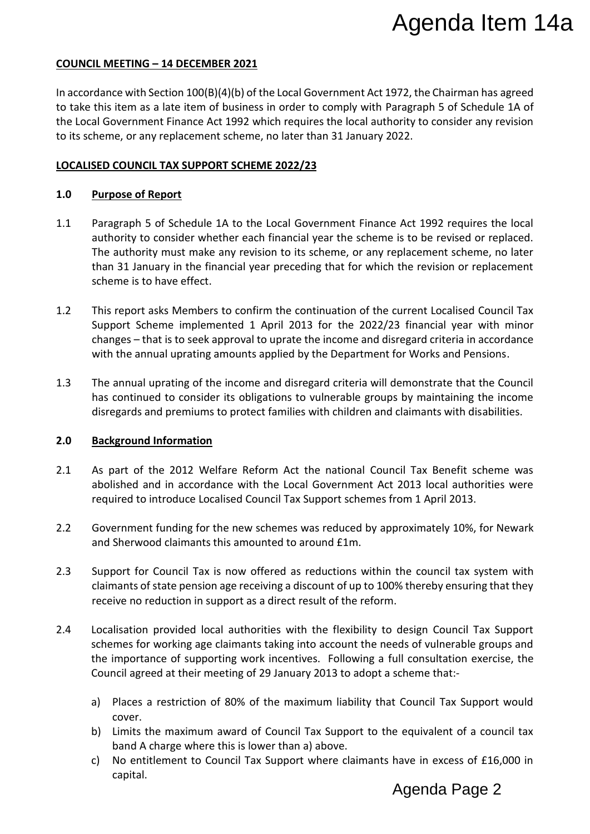## **COUNCIL MEETING – 14 DECEMBER 2021**

In accordance with Section 100(B)(4)(b) of the Local Government Act 1972, the Chairman has agreed to take this item as a late item of business in order to comply with Paragraph 5 of Schedule 1A of the Local Government Finance Act 1992 which requires the local authority to consider any revision to its scheme, or any replacement scheme, no later than 31 January 2022.

## **LOCALISED COUNCIL TAX SUPPORT SCHEME 2022/23**

## **1.0 Purpose of Report**

- 1.1 Paragraph 5 of Schedule 1A to the Local Government Finance Act 1992 requires the local authority to consider whether each financial year the scheme is to be revised or replaced. The authority must make any revision to its scheme, or any replacement scheme, no later than 31 January in the financial year preceding that for which the revision or replacement scheme is to have effect. Agenda Item 14a<br>
Trave that the charman has agreed<br>
Trave the Caracter are arguests the local<br>
rangraph 5 of Schedule 1A of<br>
ority to consider any revision<br>
022.<br>
Le Act 1992 requires the local<br>
replacement scheme, no late
- 1.2 This report asks Members to confirm the continuation of the current Localised Council Tax Support Scheme implemented 1 April 2013 for the 2022/23 financial year with minor changes – that is to seek approval to uprate the income and disregard criteria in accordance with the annual uprating amounts applied by the Department for Works and Pensions.
- 1.3 The annual uprating of the income and disregard criteria will demonstrate that the Council has continued to consider its obligations to vulnerable groups by maintaining the income disregards and premiums to protect families with children and claimants with disabilities.

### **2.0 Background Information**

- 2.1 As part of the 2012 Welfare Reform Act the national Council Tax Benefit scheme was abolished and in accordance with the Local Government Act 2013 local authorities were required to introduce Localised Council Tax Support schemes from 1 April 2013.
- 2.2 Government funding for the new schemes was reduced by approximately 10%, for Newark and Sherwood claimants this amounted to around £1m.
- 2.3 Support for Council Tax is now offered as reductions within the council tax system with claimants of state pension age receiving a discount of up to 100% thereby ensuring that they receive no reduction in support as a direct result of the reform.
- 2.4 Localisation provided local authorities with the flexibility to design Council Tax Support schemes for working age claimants taking into account the needs of vulnerable groups and the importance of supporting work incentives. Following a full consultation exercise, the Council agreed at their meeting of 29 January 2013 to adopt a scheme that:
	- a) Places a restriction of 80% of the maximum liability that Council Tax Support would cover.
	- b) Limits the maximum award of Council Tax Support to the equivalent of a council tax band A charge where this is lower than a) above.
	- c) No entitlement to Council Tax Support where claimants have in excess of £16,000 in capital.